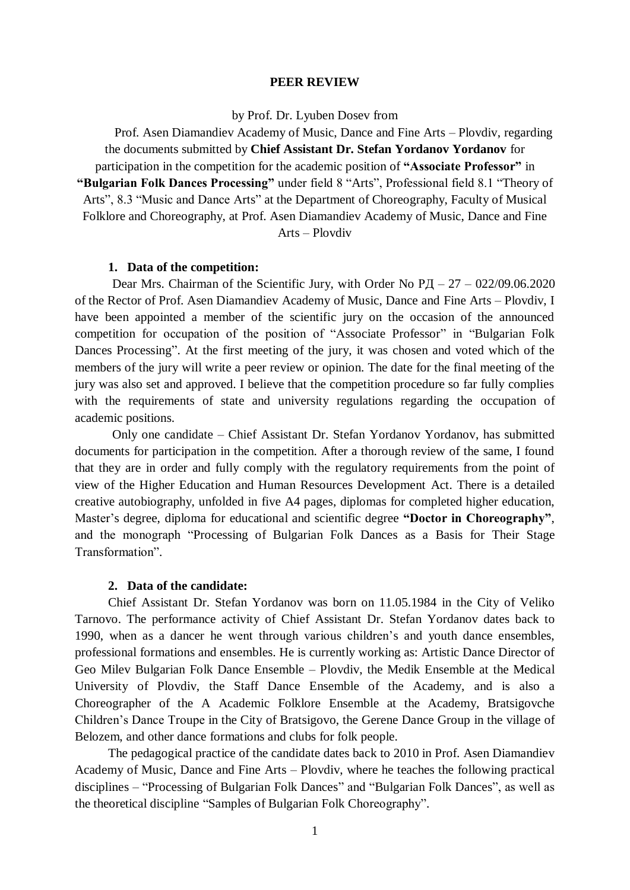#### **PEER REVIEW**

by Prof. Dr. Lyuben Dosev from

Prof. Asen Diamandiev Academy of Music, Dance and Fine Arts – Plovdiv, regarding the documents submitted by **Chief Assistant Dr. Stefan Yordanov Yordanov** for participation in the competition for the academic position of **"Associate Professor"** in **"Bulgarian Folk Dances Processing"** under field 8 "Arts", Professional field 8.1 "Theory of Arts", 8.3 "Music and Dance Arts" at the Department of Choreography, Faculty of Musical Folklore and Choreography, at Prof. Asen Diamandiev Academy of Music, Dance and Fine Arts – Plovdiv

#### **1. Data of the competition:**

Dear Mrs. Chairman of the Scientific Jury, with Order No  $\overline{PI} - 27 - 022/09.06.2020$ of the Rector of Prof. Asen Diamandiev Academy of Music, Dance and Fine Arts – Plovdiv, I have been appointed a member of the scientific jury on the occasion of the announced competition for occupation of the position of "Associate Professor" in "Bulgarian Folk Dances Processing". At the first meeting of the jury, it was chosen and voted which of the members of the jury will write a peer review or opinion. The date for the final meeting of the jury was also set and approved. I believe that the competition procedure so far fully complies with the requirements of state and university regulations regarding the occupation of academic positions.

Only one candidate – Chief Assistant Dr. Stefan Yordanov Yordanov, has submitted documents for participation in the competition. After a thorough review of the same, I found that they are in order and fully comply with the regulatory requirements from the point of view of the Higher Education and Human Resources Development Act. There is a detailed creative autobiography, unfolded in five A4 pages, diplomas for completed higher education, Master's degree, diploma for educational and scientific degree **"Doctor in Choreography"**, and the monograph "Processing of Bulgarian Folk Dances as a Basis for Their Stage Transformation".

## **2. Data of the candidate:**

Chief Assistant Dr. Stefan Yordanov was born on 11.05.1984 in the City of Veliko Tarnovo. The performance activity of Chief Assistant Dr. Stefan Yordanov dates back to 1990, when as a dancer he went through various children's and youth dance ensembles, professional formations and ensembles. He is currently working as: Artistic Dance Director of Geo Milev Bulgarian Folk Dance Ensemble – Plovdiv, the Medik Ensemble at the Medical University of Plovdiv, the Staff Dance Ensemble of the Academy, and is also a Choreographer of the A Academic Folklore Ensemble at the Academy, Bratsigovche Children's Dance Troupe in the City of Bratsigovo, the Gerene Dance Group in the village of Belozem, and other dance formations and clubs for folk people.

The pedagogical practice of the candidate dates back to 2010 in Prof. Asen Diamandiev Academy of Music, Dance and Fine Arts – Plovdiv, where he teaches the following practical disciplines – "Processing of Bulgarian Folk Dances" and "Bulgarian Folk Dances", as well as the theoretical discipline "Samples of Bulgarian Folk Choreography".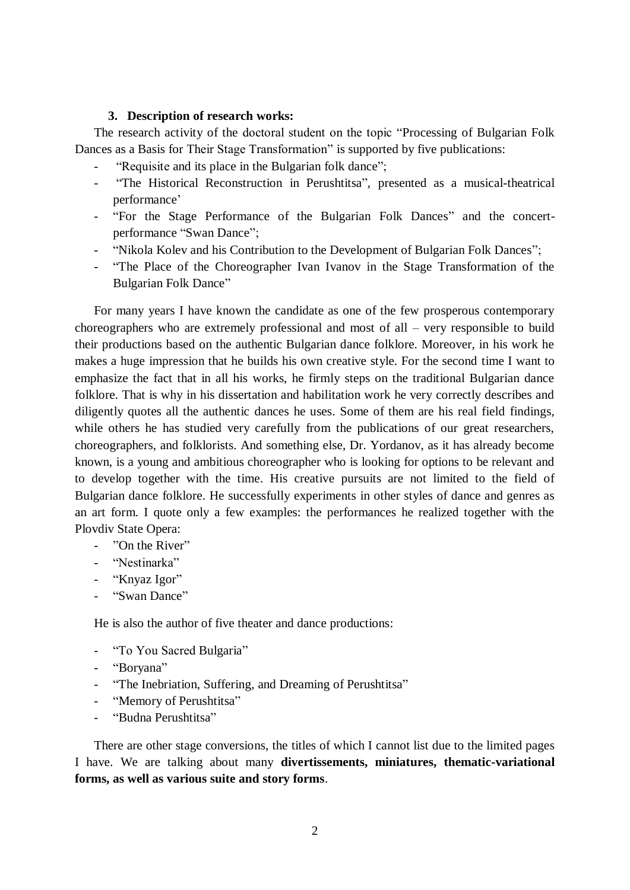### **3. Description of research works:**

The research activity of the doctoral student on the topic "Processing of Bulgarian Folk Dances as a Basis for Their Stage Transformation" is supported by five publications:

- "Requisite and its place in the Bulgarian folk dance";
- "The Historical Reconstruction in Perushtitsa", presented as a musical-theatrical performance'
- "For the Stage Performance of the Bulgarian Folk Dances" and the concertperformance "Swan Dance";
- "Nikola Kolev and his Contribution to the Development of Bulgarian Folk Dances";
- "The Place of the Choreographer Ivan Ivanov in the Stage Transformation of the Bulgarian Folk Dance"

For many years I have known the candidate as one of the few prosperous contemporary choreographers who are extremely professional and most of all – very responsible to build their productions based on the authentic Bulgarian dance folklore. Moreover, in his work he makes a huge impression that he builds his own creative style. For the second time I want to emphasize the fact that in all his works, he firmly steps on the traditional Bulgarian dance folklore. That is why in his dissertation and habilitation work he very correctly describes and diligently quotes all the authentic dances he uses. Some of them are his real field findings, while others he has studied very carefully from the publications of our great researchers, choreographers, and folklorists. And something else, Dr. Yordanov, as it has already become known, is a young and ambitious choreographer who is looking for options to be relevant and to develop together with the time. His creative pursuits are not limited to the field of Bulgarian dance folklore. He successfully experiments in other styles of dance and genres as an art form. I quote only a few examples: the performances he realized together with the Plovdiv State Opera:

- "On the River"
- "Nestinarka"
- "Knyaz Igor"
- "Swan Dance"

He is also the author of five theater and dance productions:

- "To You Sacred Bulgaria"
- "Boryana"
- "The Inebriation, Suffering, and Dreaming of Perushtitsa"
- "Memory of Perushtitsa"
- "Budna Perushtitsa"

There are other stage conversions, the titles of which I cannot list due to the limited pages I have. We are talking about many **divertissements, miniatures, thematic-variational forms, as well as various suite and story forms**.